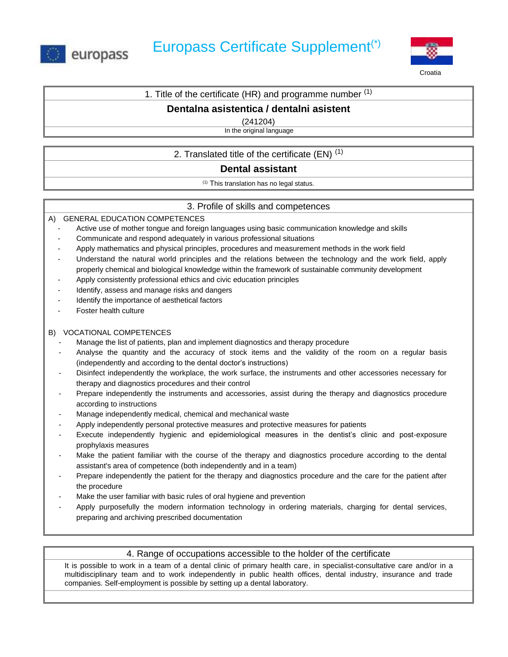



**Croatia** 

# 1. Title of the certificate (HR) and programme number  $(1)$

# **Dentalna asistentica / dentalni asistent**

(241204)

In the original language

# 2. Translated title of the certificate  $(EN)^{(1)}$

# **Dental assistant**

(1) This translation has no legal status.

# 3. Profile of skills and competences

#### A) GENERAL EDUCATION COMPETENCES

- Active use of mother tongue and foreign languages using basic communication knowledge and skills
- Communicate and respond adequately in various professional situations
- Apply mathematics and physical principles, procedures and measurement methods in the work field
- Understand the natural world principles and the relations between the technology and the work field, apply properly chemical and biological knowledge within the framework of sustainable community development
- Apply consistently professional ethics and civic education principles
- Identify, assess and manage risks and dangers
- Identify the importance of aesthetical factors
- Foster health culture

#### B) VOCATIONAL COMPETENCES

- Manage the list of patients, plan and implement diagnostics and therapy procedure
- Analyse the quantity and the accuracy of stock items and the validity of the room on a regular basis (independently and according to the dental doctor's instructions)
- Disinfect independently the workplace, the work surface, the instruments and other accessories necessary for therapy and diagnostics procedures and their control
- Prepare independently the instruments and accessories, assist during the therapy and diagnostics procedure according to instructions
- Manage independently medical, chemical and mechanical waste
- Apply independently personal protective measures and protective measures for patients
- Execute independently hygienic and epidemiological measures in the dentist's clinic and post-exposure prophylaxis measures
- Make the patient familiar with the course of the therapy and diagnostics procedure according to the dental assistant's area of competence (both independently and in a team)
- Prepare independently the patient for the therapy and diagnostics procedure and the care for the patient after the procedure
- Make the user familiar with basic rules of oral hygiene and prevention
- Apply purposefully the modern information technology in ordering materials, charging for dental services, preparing and archiving prescribed documentation

### 4. Range of occupations accessible to the holder of the certificate

It is possible to work in a team of a dental clinic of primary health care, in specialist-consultative care and/or in a multidisciplinary team and to work independently in public health offices, dental industry, insurance and trade companies. Self-employment is possible by setting up a dental laboratory.